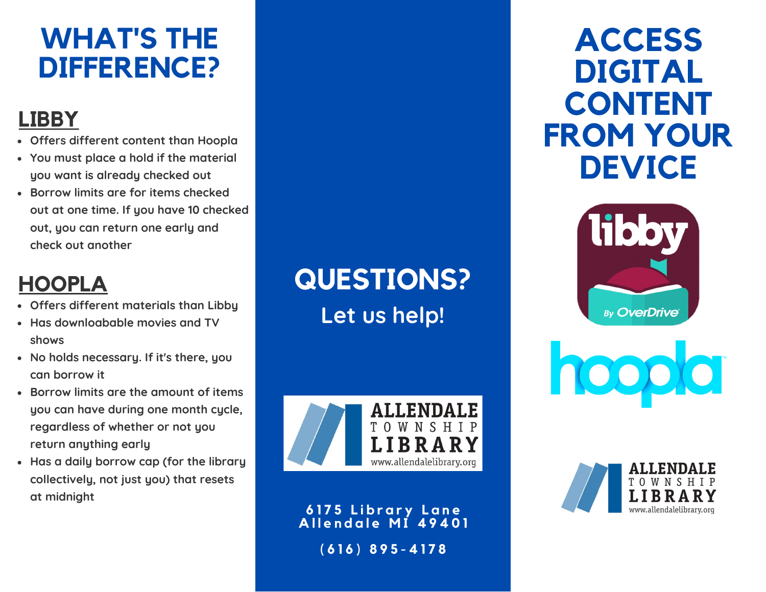# **WHAT'S THE DIFFERENCE?**

## **LIBBY**

- **Offers different content than Hoopla**
- **You must place a hold if the material you want is already checked out**
- **Borrow limits are for items checked out at one time. If you have 10 checked out, you can return one early and check out another**

# **HOOPLA**

- **Offers different materials than Libby**
- **Has downloabable movies and TV shows**
- **No holds necessary. If it's there, you can borrow it**
- **Borrow limits are the amount of items you can have during one month cycle, regardless of whether or not you return anything early**
- **Has a daily borrow cap (for the library collectively, not just you) that resets at midnight**

**QUESTIONS? Let us help!**



**6 1 7 5 L i b r a r y L a n e A l l e n d a l e M I 4 9 4 0 1 ( 6 1 6 ) 8 9 5 - 4 1 7 8**

# **ACCESS DIGITAL CONTENT FROM YOUR DEVICE**